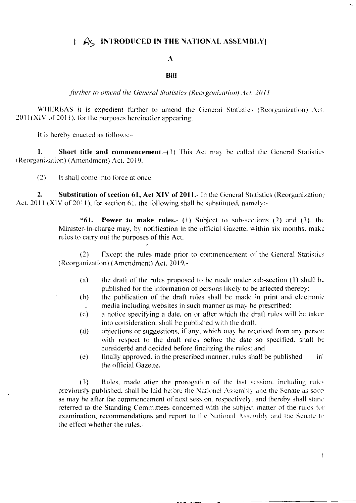# $\int$   $\hat{A}$  $\zeta$  INTRODUCED IN THE NATIONAL ASSEMBLY

### $\mathbf{A}$

#### **Bill**

#### further to amend the General Statistics (Reorganization) Act. 2011

WHEREAS it is expedient further to amend the General Statistics (Reorganization) Act.  $2011(XIV of 2011)$ , for the purposes hereinafter appearing:

It is hereby enacted as follows:-

Short title and commencement. (1) This Act may be called the General Statistics 1. (Reorganization) (Amendment) Act, 2019.

 $(2)$ It shall come into force at once.

 $2.$ Substitution of section 61, Act XIV of 2011.- In the General Statistics (Reorganization) Act, 2011 (XIV of 2011), for section 61, the following shall be substituted, namely:-

> Power to make rules.- (1) Subject to sub-sections (2) and (3), the "61. Minister-in-charge may, by notification in the official Gazette. within six months, make rules to carry out the purposes of this Act.

> $(2)$ Except the rules made prior to commencement of the General Statistics (Reorganization) (Amendment) Act. 2019,-

- the draft of the rules proposed to be made under sub-section (1) shall be  $(a)$ published for the information of persons likely to be affected thereby;
- the publication of the draft rules shall be made in print and electronic  $(b)$ media including websites in such manner as may be prescribed;
- a notice specifying a date, on or after which the draft rules will be taken  $(c)$ into consideration, shall be published with the draft;
- objections or suggestions, if any, which may be received from any person  $(d)$ with respect to the draft rules before the date so specified, shall be considered and decided before finalizing the rules; and
- finally approved, in the prescribed manner, rules shall be published in.  $(e)$ the official Gazette.

 $(3)$ Rules, made after the prorogation of the last session, including rules previously published, shall be laid before the National Assembly and the Senate as sooras may be after the commencement of next session, respectively, and thereby shall stand referred to the Standing Committees concerned with the subject matter of the rules for examination, recommendations and report to the National Assembly and the Senate to the effect whether the rules.-

 $\mathbf{I}$